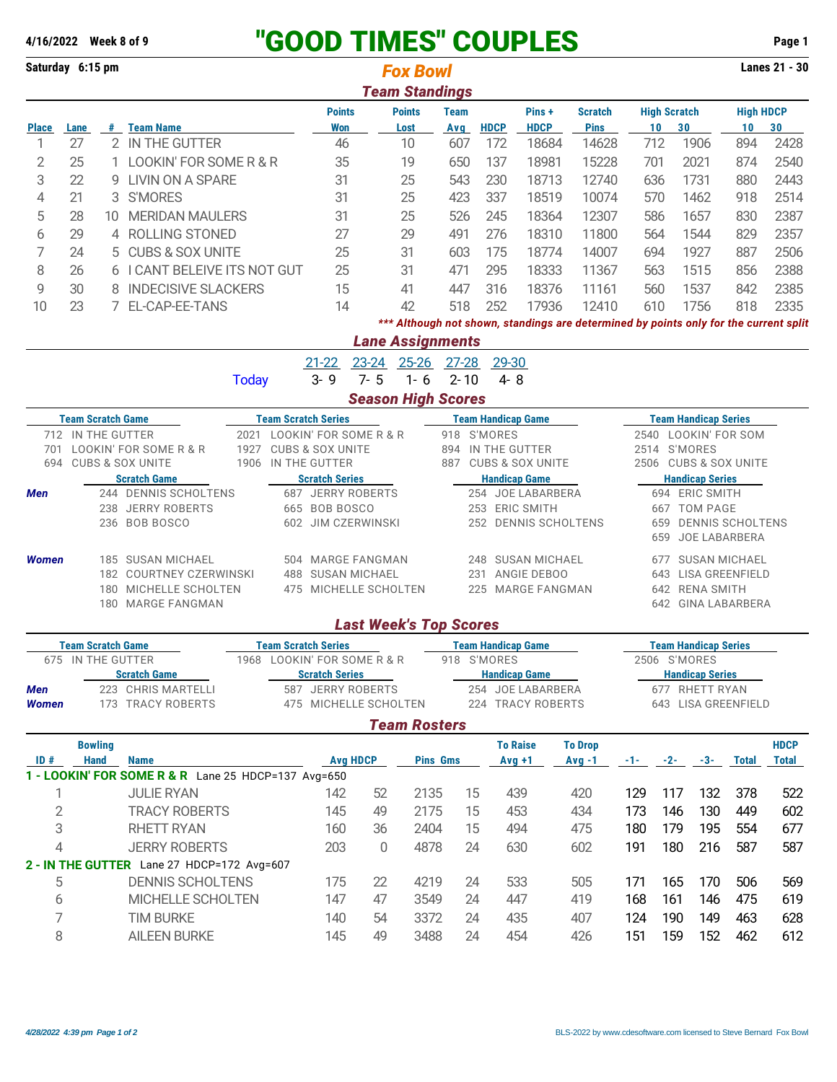## **4/16/2022 Week 8 of 9** "GOOD TIMES" COUPLES **Page 1**

| Saturday 6:15 pm                                       |                                                                                                   |                              |                                                     |                                           |                                                      |                                |                                            | <b>Fox Bowl</b>       |                                           |                   |                           |                                      |                                                                                       |                                       |                   |                                       |                  | Lanes 21 - 30 |  |
|--------------------------------------------------------|---------------------------------------------------------------------------------------------------|------------------------------|-----------------------------------------------------|-------------------------------------------|------------------------------------------------------|--------------------------------|--------------------------------------------|-----------------------|-------------------------------------------|-------------------|---------------------------|--------------------------------------|---------------------------------------------------------------------------------------|---------------------------------------|-------------------|---------------------------------------|------------------|---------------|--|
|                                                        |                                                                                                   |                              |                                                     |                                           |                                                      |                                |                                            | <b>Team Standings</b> |                                           |                   |                           |                                      |                                                                                       |                                       |                   |                                       |                  |               |  |
|                                                        |                                                                                                   |                              |                                                     |                                           |                                                      | <b>Points</b><br><b>Points</b> |                                            |                       | <b>Team</b>                               |                   |                           | Pins+<br><b>Scratch</b>              |                                                                                       | <b>High Scratch</b>                   |                   |                                       | <b>High HDCP</b> |               |  |
| <b>Place</b>                                           | Lane                                                                                              |                              | # Team Name                                         |                                           |                                                      | <b>Won</b>                     |                                            | Lost                  | Avg                                       |                   | <b>HDCP</b>               | <b>HDCP</b>                          | <b>Pins</b>                                                                           |                                       | 10                | 30                                    | 10               | 30            |  |
| 1                                                      | 27<br>2 IN THE GUTTER                                                                             |                              |                                                     | 46                                        |                                                      | 10                             | 607<br>172                                 |                       |                                           | 18684             | 14628                     |                                      | 712                                                                                   | 1906                                  | 894               | 2428                                  |                  |               |  |
| $\overline{2}$                                         | 25                                                                                                |                              | 1 LOOKIN' FOR SOME R & R                            |                                           |                                                      | 35                             |                                            | 19                    | 650                                       |                   | 137                       | 18981                                | 15228                                                                                 |                                       | 701               | 2021                                  | 874              | 2540          |  |
| 3                                                      | 22                                                                                                | <b>LIVIN ON A SPARE</b><br>9 |                                                     |                                           | 31                                                   |                                | 25                                         | 543                   | 230<br>18713                              |                   |                           | 12740                                |                                                                                       | 636                                   | 1731              | 880                                   | 2443             |               |  |
| 4                                                      | 21                                                                                                |                              | 3 S'MORES                                           |                                           |                                                      | 31                             |                                            | 25                    | 423                                       |                   | 337                       | 18519                                | 10074                                                                                 |                                       | 570               | 1462                                  | 918              | 2514          |  |
| 5                                                      | 28                                                                                                | 10                           | <b>MERIDAN MAULERS</b>                              |                                           |                                                      | 31                             |                                            | 25                    | 526                                       |                   | 245                       | 18364                                | 12307                                                                                 |                                       | 586               | 1657                                  | 830              | 2387          |  |
| 6                                                      | 29                                                                                                |                              | 4 ROLLING STONED                                    |                                           |                                                      | 27                             |                                            | 29                    | 491                                       |                   | 276                       | 18310                                | 11800                                                                                 |                                       | 564               | 1544                                  | 829              | 2357          |  |
| 7                                                      | 24                                                                                                | 5.                           | <b>CUBS &amp; SOX UNITE</b>                         |                                           |                                                      | 25                             |                                            | 31                    | 603                                       |                   | 175                       | 18774                                | 14007                                                                                 |                                       | 694               | 1927                                  | 887              | 2506          |  |
| 8                                                      | 26                                                                                                |                              |                                                     | 6 I CANT BELEIVE ITS NOT GUT              |                                                      | 25                             |                                            | 31                    | 471                                       |                   | 295                       | 18333                                | 11367                                                                                 |                                       | 563               | 1515                                  | 856              | 2388          |  |
| 9                                                      | 30                                                                                                | 8 INDECISIVE SLACKERS        |                                                     | 15                                        |                                                      | 41                             | 447                                        |                       | 316                                       | 18376             | 11161                     |                                      | 560                                                                                   | 1537                                  | 842               | 2385                                  |                  |               |  |
| 10                                                     | 23                                                                                                |                              | 7 EL-CAP-EE-TANS                                    |                                           |                                                      | 14                             |                                            | 42                    | 518                                       |                   | 252                       | 17936                                | 12410                                                                                 |                                       | 610               | 1756                                  | 818              | 2335          |  |
|                                                        |                                                                                                   |                              |                                                     |                                           |                                                      |                                |                                            |                       |                                           |                   |                           |                                      | *** Although not shown, standings are determined by points only for the current split |                                       |                   |                                       |                  |               |  |
|                                                        |                                                                                                   |                              |                                                     |                                           |                                                      |                                |                                            |                       |                                           |                   |                           |                                      |                                                                                       |                                       |                   |                                       |                  |               |  |
|                                                        |                                                                                                   |                              |                                                     | <b>Lane Assignments</b><br>23-24 25-26    |                                                      |                                |                                            |                       |                                           |                   |                           |                                      |                                                                                       |                                       |                   |                                       |                  |               |  |
|                                                        |                                                                                                   |                              |                                                     |                                           |                                                      | $21 - 22$                      |                                            |                       | 27-28                                     |                   | 29-30                     |                                      |                                                                                       |                                       |                   |                                       |                  |               |  |
|                                                        |                                                                                                   |                              |                                                     | <b>Today</b>                              |                                                      | $3 - 9$                        | $7 - 5$                                    | $1 - 6$               | $2 - 10$                                  |                   | $4 - 8$                   |                                      |                                                                                       |                                       |                   |                                       |                  |               |  |
|                                                        |                                                                                                   |                              |                                                     |                                           |                                                      |                                | <b>Season High Scores</b>                  |                       |                                           |                   |                           |                                      |                                                                                       |                                       |                   |                                       |                  |               |  |
| <b>Team Scratch Game</b><br><b>Team Scratch Series</b> |                                                                                                   |                              |                                                     |                                           |                                                      |                                | <b>Team Handicap Game</b>                  |                       |                                           |                   |                           |                                      | <b>Team Handicap Series</b>                                                           |                                       |                   |                                       |                  |               |  |
|                                                        | 712 IN THE GUTTER<br>2021 LOOKIN' FOR SOME R & R                                                  |                              |                                                     |                                           |                                                      |                                | 918 S'MORES<br>2540 LOOKIN' FOR SOM        |                       |                                           |                   |                           |                                      |                                                                                       |                                       |                   |                                       |                  |               |  |
|                                                        | 701 LOOKIN' FOR SOME R & R<br>1927 CUBS & SOX UNITE<br>694 CUBS & SOX UNITE<br>1906 IN THE GUTTER |                              |                                                     |                                           |                                                      |                                |                                            |                       | 894 IN THE GUTTER<br>887 CUBS & SOX UNITE |                   |                           |                                      |                                                                                       | 2514 S'MORES<br>2506 CUBS & SOX UNITE |                   |                                       |                  |               |  |
|                                                        | <b>Scratch Game</b>                                                                               |                              |                                                     |                                           |                                                      | <b>Scratch Series</b>          |                                            |                       | <b>Handicap Game</b>                      |                   |                           |                                      |                                                                                       | <b>Handicap Series</b>                |                   |                                       |                  |               |  |
| Men                                                    | 244 DENNIS SCHOLTENS                                                                              |                              |                                                     |                                           |                                                      | 687 JERRY ROBERTS              |                                            |                       | 254 JOE LABARBERA                         |                   |                           |                                      |                                                                                       | 694 ERIC SMITH                        |                   |                                       |                  |               |  |
|                                                        | 238 JERRY ROBERTS                                                                                 |                              |                                                     |                                           |                                                      | 665 BOB BOSCO                  |                                            |                       | 253 ERIC SMITH                            |                   |                           |                                      |                                                                                       | 667 TOM PAGE                          |                   |                                       |                  |               |  |
|                                                        | 236 BOB BOSCO                                                                                     |                              |                                                     |                                           |                                                      | 602 JIM CZERWINSKI             |                                            |                       | 252 DENNIS SCHOLTENS                      |                   |                           |                                      |                                                                                       | 659 DENNIS SCHOLTENS                  |                   |                                       |                  |               |  |
|                                                        |                                                                                                   |                              |                                                     |                                           |                                                      |                                |                                            |                       |                                           |                   |                           |                                      |                                                                                       |                                       |                   | 659 JOE LABARBERA                     |                  |               |  |
| <b>Women</b>                                           |                                                                                                   | 185 SUSAN MICHAEL            |                                                     |                                           |                                                      |                                | 504 MARGE FANGMAN                          |                       |                                           | 248 SUSAN MICHAEL |                           |                                      |                                                                                       |                                       | 677 SUSAN MICHAEL |                                       |                  |               |  |
|                                                        | 182 COURTNEY CZERWINSKI                                                                           |                              |                                                     |                                           | 488 SUSAN MICHAEL                                    |                                |                                            | 231 ANGIE DEBOO       |                                           |                   |                           |                                      | 643 LISA GREENFIELD                                                                   |                                       |                   |                                       |                  |               |  |
|                                                        | 180 MICHELLE SCHOLTEN                                                                             |                              |                                                     |                                           |                                                      | 475 MICHELLE SCHOLTEN          |                                            | 225 MARGE FANGMAN     |                                           |                   |                           | 642 RENA SMITH<br>642 GINA LABARBERA |                                                                                       |                                       |                   |                                       |                  |               |  |
|                                                        | 180 MARGE FANGMAN                                                                                 |                              |                                                     |                                           |                                                      |                                |                                            |                       |                                           |                   |                           |                                      |                                                                                       |                                       |                   |                                       |                  |               |  |
|                                                        |                                                                                                   |                              |                                                     |                                           |                                                      |                                | <b>Last Week's Top Scores</b>              |                       |                                           |                   |                           |                                      |                                                                                       |                                       |                   |                                       |                  |               |  |
|                                                        | <b>Team Scratch Game</b>                                                                          |                              |                                                     |                                           |                                                      | <b>Team Scratch Series</b>     |                                            |                       |                                           |                   | <b>Team Handicap Game</b> |                                      |                                                                                       |                                       |                   | <b>Team Handicap Series</b>           |                  |               |  |
|                                                        | 675 IN THE GUTTER                                                                                 |                              |                                                     |                                           | 1968 LOOKIN' FOR SOME R & R<br><b>Scratch Series</b> |                                |                                            | 918 S'MORES           |                                           |                   |                           |                                      | 2506 S'MORES                                                                          |                                       |                   |                                       |                  |               |  |
|                                                        | <b>Scratch Game</b>                                                                               |                              |                                                     | <b>Handicap Game</b><br>254 JOE LABARBERA |                                                      |                                |                                            |                       |                                           |                   | <b>Handicap Series</b>    |                                      |                                                                                       |                                       |                   |                                       |                  |               |  |
| Men<br><b>Women</b>                                    |                                                                                                   |                              | 223 CHRIS MARTELLI<br>173 TRACY ROBERTS             |                                           |                                                      |                                | 587 JERRY ROBERTS<br>475 MICHELLE SCHOLTEN |                       |                                           |                   | 224 TRACY ROBERTS         |                                      |                                                                                       |                                       |                   | 677 RHETT RYAN<br>643 LISA GREENFIELD |                  |               |  |
|                                                        |                                                                                                   |                              |                                                     |                                           |                                                      |                                |                                            |                       |                                           |                   |                           |                                      |                                                                                       |                                       |                   |                                       |                  |               |  |
|                                                        |                                                                                                   |                              |                                                     |                                           |                                                      |                                |                                            | <b>Team Rosters</b>   |                                           |                   |                           |                                      |                                                                                       |                                       |                   |                                       |                  |               |  |
|                                                        |                                                                                                   | <b>Bowling</b>               |                                                     |                                           |                                                      |                                |                                            |                       |                                           |                   | <b>To Raise</b>           |                                      | <b>To Drop</b>                                                                        |                                       |                   |                                       |                  | <b>HDCP</b>   |  |
| ID#                                                    | <b>Hand</b>                                                                                       |                              | <b>Name</b>                                         |                                           |                                                      |                                | <b>Avg HDCP</b>                            |                       | <b>Pins Gms</b>                           |                   | $Avg +1$                  |                                      | $Avg -1$                                                                              |                                       |                   | $-1$ $-2$ $-3$                        | Total            | <b>Total</b>  |  |
|                                                        |                                                                                                   |                              | 1 - LOOKIN' FOR SOME R & R Lane 25 HDCP=137 Avg=650 |                                           |                                                      |                                |                                            |                       |                                           |                   |                           |                                      |                                                                                       |                                       |                   |                                       |                  |               |  |
| 1                                                      |                                                                                                   |                              | <b>JULIE RYAN</b>                                   |                                           |                                                      | 142                            | 52                                         | 2135                  |                                           | 15                | 439                       |                                      | 420                                                                                   | 129                                   | 117               | 132                                   | 378              | 522           |  |
| 2                                                      |                                                                                                   |                              | <b>TRACY ROBERTS</b>                                |                                           |                                                      | 145                            | 49                                         | 2175                  |                                           | 15                | 453                       |                                      | 434                                                                                   | 173                                   | 146               | 130                                   | 449              | 602           |  |
| 3                                                      |                                                                                                   |                              | <b>RHETT RYAN</b>                                   |                                           |                                                      | 160                            | 36                                         | 2404                  |                                           | 15                | 494                       |                                      | 475                                                                                   | 180                                   | 179               | 195                                   | 554              | 677           |  |
| 4                                                      |                                                                                                   |                              | <b>JERRY ROBERTS</b>                                |                                           |                                                      | 203                            | $\mathbf{0}$                               | 4878                  |                                           | 24                | 630                       |                                      | 602                                                                                   | 191                                   | 180               | 216                                   | 587              | 587           |  |
|                                                        |                                                                                                   |                              | 2 - IN THE GUTTER Lane 27 HDCP=172 Avg=607          |                                           |                                                      |                                |                                            |                       |                                           |                   |                           |                                      |                                                                                       |                                       |                   |                                       |                  |               |  |
| 5                                                      |                                                                                                   |                              | <b>DENNIS SCHOLTENS</b>                             |                                           |                                                      | 175                            | 22                                         | 4219                  |                                           | 24                | 533                       |                                      | 505                                                                                   | 171                                   | 165               | 170                                   | 506              | 569           |  |
| 6                                                      |                                                                                                   |                              | MICHELLE SCHOLTEN                                   |                                           |                                                      | 147                            | 47                                         | 3549                  |                                           | 24                | 447                       |                                      | 419                                                                                   | 168                                   | 161               | 146                                   | 475              | 619           |  |
| 7                                                      |                                                                                                   |                              | <b>TIM BURKE</b>                                    |                                           |                                                      | 140                            | 54                                         | 3372                  |                                           | 24                | 435                       |                                      | 407                                                                                   | 124                                   | 190               | 149                                   | 463              | 628           |  |
| 8                                                      |                                                                                                   |                              | <b>AILEEN BURKE</b>                                 |                                           |                                                      | 145                            | 49                                         | 3488                  |                                           | 24                | 454                       |                                      | 426                                                                                   | 151                                   | 159               | 152                                   | 462              | 612           |  |